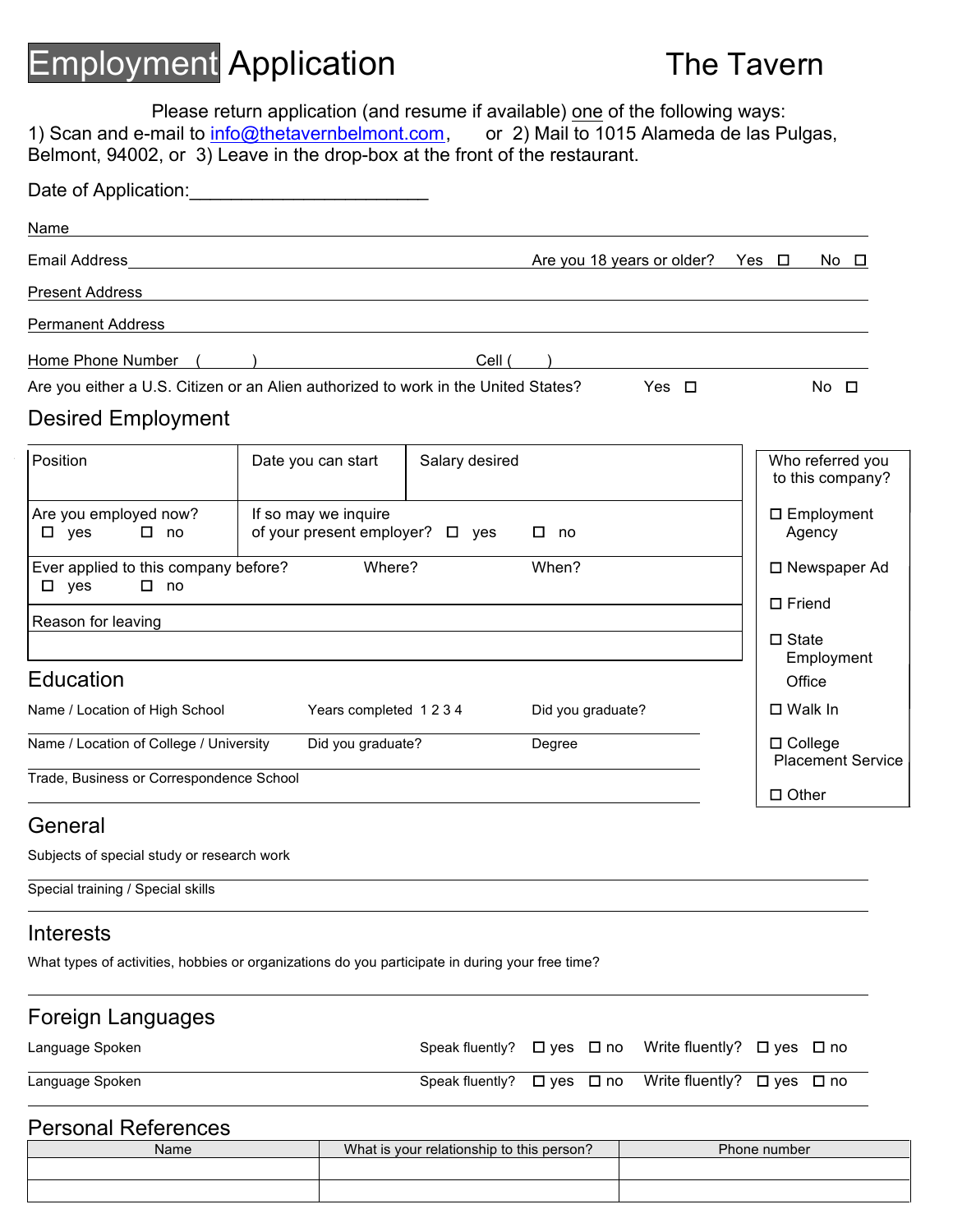# Employment Application The Tavern

Please return application (and resume if available) one of the following ways:<br>mail to info@thetavernbelmont.com, or 2) Mail to 1015 Alameda de las Pulgas, 1) Scan and e-mail to *info@thetavernbelmont.com*, or 2) Mail to 1015 Alameda de las Pulgas, Belmont, 94002, or 3) Leave in the drop-box at the front of the restaurant.

| Date of Application:                                                                |                                                              |                |                                       |                                            |
|-------------------------------------------------------------------------------------|--------------------------------------------------------------|----------------|---------------------------------------|--------------------------------------------|
| Name                                                                                |                                                              |                |                                       |                                            |
|                                                                                     |                                                              |                | Are you 18 years or older? Yes $\Box$ | No □                                       |
| <b>Present Address</b>                                                              |                                                              |                |                                       |                                            |
| <b>Permanent Address</b>                                                            |                                                              |                |                                       |                                            |
| Home Phone Number (                                                                 |                                                              | Cell (         |                                       |                                            |
| Are you either a U.S. Citizen or an Alien authorized to work in the United States?  |                                                              |                | Yes $\Box$                            | $No$ $\Box$                                |
| <b>Desired Employment</b>                                                           |                                                              |                |                                       |                                            |
| Position                                                                            | Date you can start                                           | Salary desired |                                       | Who referred you<br>to this company?       |
| Are you employed now?<br>$\Box$ yes<br>$\square$ no                                 | If so may we inquire<br>of your present employer? $\Box$ yes |                |                                       | $\square$ Employment<br>Agency             |
| Ever applied to this company before?<br>$\square$ yes<br>$\square$ no               | Where?                                                       |                | When?                                 | □ Newspaper Ad                             |
| Reason for leaving                                                                  |                                                              |                |                                       | $\Box$ Friend                              |
| Education                                                                           |                                                              |                |                                       | $\Box$ State<br>Employment                 |
|                                                                                     |                                                              |                |                                       | Office                                     |
| Name / Location of High School                                                      | Years completed 1234                                         |                | Did you graduate?                     | $\Box$ Walk In                             |
| Name / Location of College / University<br>Trade, Business or Correspondence School | Did you graduate?                                            |                | Degree                                | $\Box$ College<br><b>Placement Service</b> |
|                                                                                     |                                                              |                |                                       | $\Box$ Other                               |

### General

Subjects of special study or research work

Special training / Special skills

### Interests

What types of activities, hobbies or organizations do you participate in during your free time?

## Foreign Languages

| Language Spoken |  | Speak fluently? $\Box$ yes $\Box$ no Write fluently? $\Box$ yes $\Box$ no |  |
|-----------------|--|---------------------------------------------------------------------------|--|
| Language Spoken |  | Speak fluently? $\Box$ yes $\Box$ no Write fluently? $\Box$ yes $\Box$ no |  |

### Personal References

| Name | What is your relationship to this person? | Phone number |  |  |  |
|------|-------------------------------------------|--------------|--|--|--|
|      |                                           |              |  |  |  |
|      |                                           |              |  |  |  |